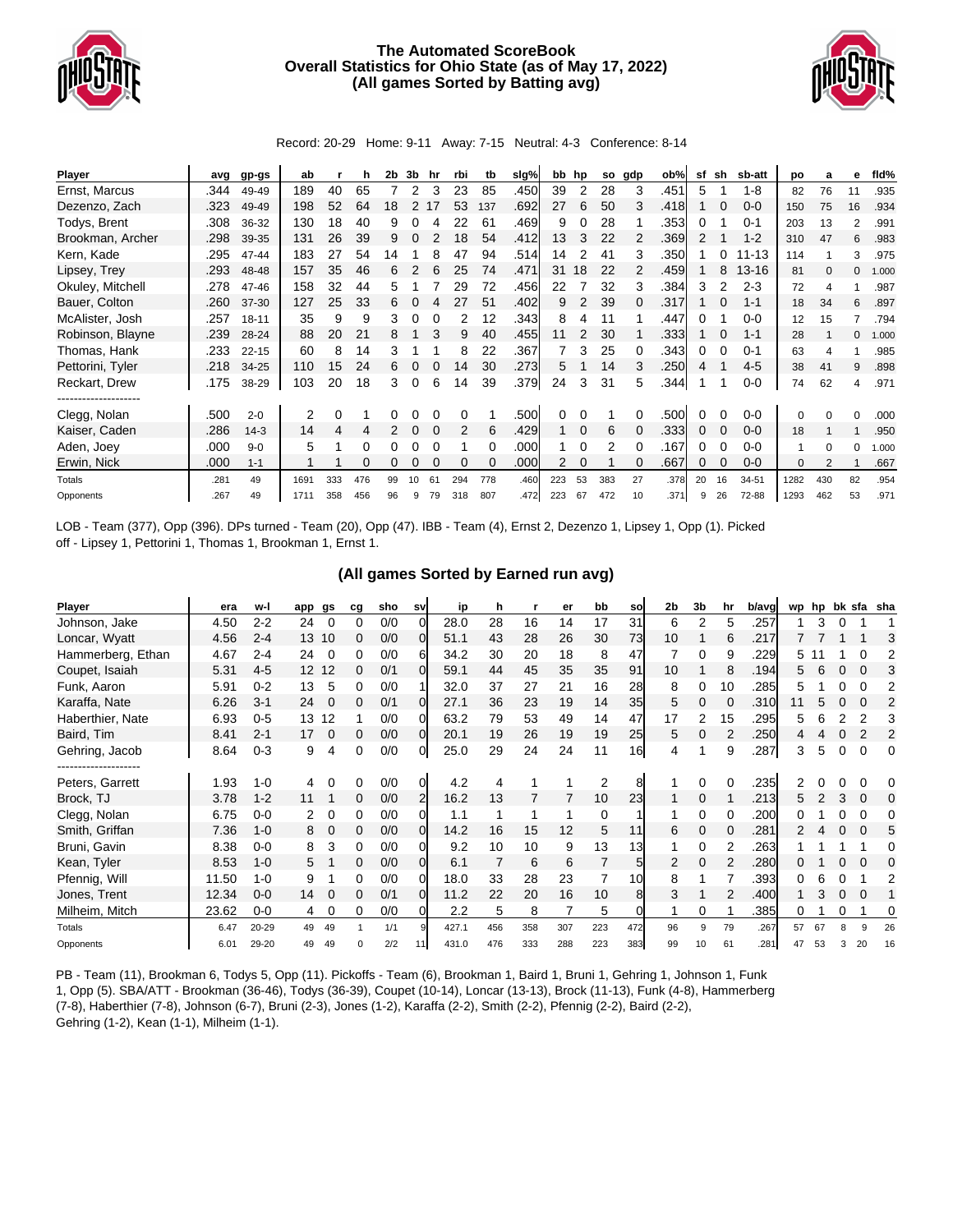

## **The Automated ScoreBook Overall Statistics for Ohio State (as of May 17, 2022) (All games Sorted by Batting avg)**



Record: 20-29 Home: 9-11 Away: 7-15 Neutral: 4-3 Conference: 8-14

| Player           | avg  | gp-gs     | ab   |     | h   | 2b | 3b | hr | rbi | tb  | slg% | bb  | hp       | so  | gdp | ob%  | sf | sh | sb-att    | po   | a   | е  | fld%  |
|------------------|------|-----------|------|-----|-----|----|----|----|-----|-----|------|-----|----------|-----|-----|------|----|----|-----------|------|-----|----|-------|
| Ernst, Marcus    | .344 | 49-49     | 189  | 40  | 65  |    | 2  | 3  | 23  | 85  | .450 | 39  | 2        | 28  | 3   | .451 | 5  |    | $1 - 8$   | 82   | 76  | 11 | .935  |
| Dezenzo, Zach    | .323 | 49-49     | 198  | 52  | 64  | 18 |    |    | 53  | 137 | .692 | 27  | 6        | 50  | 3   | .418 |    |    | $0 - 0$   | 150  | 75  | 16 | .934  |
| Todys, Brent     | .308 | 36-32     | 130  | 18  | 40  | 9  |    |    | 22  | 61  | .469 | 9   | 0        | 28  |     | .353 | 0  |    | $0 - 1$   | 203  | 13  | 2  | .991  |
| Brookman, Archer | .298 | 39-35     | 131  | 26  | 39  | 9  | 0  |    | 18  | 54  | .412 | 13  | 3        | 22  | 2   | .369 |    |    | $1 - 2$   | 310  | 47  | 6  | .983  |
| Kern, Kade       | .295 | 47-44     | 183  | 27  | 54  | 14 |    |    | 47  | 94  | .514 | 14  |          | 41  | 3   | .350 |    |    | $11 - 13$ | 114  |     | 3  | .975  |
| Lipsey, Trey     | .293 | 48-48     | 157  | 35  | 46  | 6  |    | 6  | 25  | 74  | .471 | 31  | 18       | 22  | 2   | .459 |    | 8  | $13 - 16$ | 81   | 0   | 0  | 1.000 |
| Okuley, Mitchell | .278 | 47-46     | 158  | 32  | 44  | 5  |    |    | 29  | 72  | .456 | 22  |          | 32  | 3   | .384 | 3  |    | $2 - 3$   | 72   | 4   |    | .987  |
| Bauer, Colton    | .260 | 37-30     | 127  | 25  | 33  | 6  |    |    | 27  | 51  | .402 | 9   | 2        | 39  | 0   | .317 |    |    | $1 - 1$   | 18   | 34  | 6  | .897  |
| McAlister, Josh  | .257 | $18 - 11$ | 35   | 9   | 9   | 3  | 0  |    |     | 12  | .343 | 8   | 4        | 11  |     | .447 | 0  |    | $0 - 0$   | 12   | 15  |    | .794  |
| Robinson, Blayne | .239 | 28-24     | 88   | 20  | 21  | 8  |    |    | 9   | 40  | .455 | 11  | 2        | 30  |     | .333 |    |    | $1 - 1$   | 28   |     | 0  | 1.000 |
| Thomas, Hank     | .233 | $22 - 15$ | 60   | 8   | 14  | 3  |    |    | 8   | 22  | .367 |     | 3        | 25  | 0   | .343 | 0  |    | $0 - 1$   | 63   |     |    | .985  |
| Pettorini, Tyler | .218 | 34-25     | 110  | 15  | 24  | 6  |    |    | 14  | 30  | .273 | 5   |          | 14  | 3   | .250 | 4  |    | $4 - 5$   | 38   | 41  | 9  | .898  |
| Reckart, Drew    | .175 | 38-29     | 103  | 20  | 18  | 3  | 0  | 6  | 14  | 39  | .379 | 24  | 3        | 31  | 5   | .344 |    |    | $0 - 0$   | 74   | 62  | 4  | .971  |
| <br>Clegg, Nolan | .500 | $2 - 0$   | 2    | 0   |     |    |    |    | 0   |     | .500 | 0   |          |     |     | .500 |    |    | $0 - 0$   | 0    |     | 0  | .000  |
| Kaiser, Caden    | .286 | $14-3$    | 14   | 4   | 4   |    |    |    | 2   | 6   | .429 |     | $\Omega$ | 6   |     | .333 | 0  |    | $0 - 0$   | 18   |     |    | .950  |
| Aden, Joey       | .000 | $9 - 0$   | 5    |     | 0   |    |    |    |     | 0   | .000 |     | 0        | 2   | 0   | .167 | 0  |    | $0 - 0$   | 1    | 0   | 0  | 1.000 |
| Erwin, Nick      | .000 | $1 - 1$   |      |     |     |    |    |    | 0   |     | .000 | 2   |          |     | 0   | .667 | 0  |    | $0 - 0$   | 0    |     |    | .667  |
| Totals           | .281 | 49        | 1691 | 333 | 476 | 99 | 10 | 61 | 294 | 778 | .460 | 223 | 53       | 383 | 27  | .378 | 20 | 16 | 34-51     | 1282 | 430 | 82 | .954  |
| Opponents        | .267 | 49        | 1711 | 358 | 456 | 96 | 9  | 79 | 318 | 807 | .472 | 223 | 67       | 472 | 10  | .371 | 9  | 26 | 72-88     | 1293 | 462 | 53 | .971  |

LOB - Team (377), Opp (396). DPs turned - Team (20), Opp (47). IBB - Team (4), Ernst 2, Dezenzo 1, Lipsey 1, Opp (1). Picked off - Lipsey 1, Pettorini 1, Thomas 1, Brookman 1, Ernst 1.

## **(All games Sorted by Earned run avg)**

| Player                              | era   | w-l     | app | gs       | сg | sho | sv             | ip    | h   |     | er  | bb             | sol | 2b | 3b       | hr | b/avg | wp | hp |   |          | bk sfa sha |
|-------------------------------------|-------|---------|-----|----------|----|-----|----------------|-------|-----|-----|-----|----------------|-----|----|----------|----|-------|----|----|---|----------|------------|
| Johnson, Jake                       | 4.50  | $2 - 2$ | 24  | 0        | 0  | 0/0 | $\Omega$       | 28.0  | 28  | 16  | 14  | 17             | 31  | 6  | 2        | 5  | .257  |    | 3  |   |          |            |
| Loncar, Wyatt                       | 4.56  | $2 - 4$ | 13  | 10       | 0  | 0/0 | 0l             | 51.1  | 43  | 28  | 26  | 30             | 73  | 10 |          | 6  | .217  |    |    |   |          | З          |
| Hammerberg, Ethan                   | 4.67  | $2 - 4$ | 24  | $\Omega$ | 0  | 0/0 | 61             | 34.2  | 30  | 20  | 18  | 8              | 47  |    | 0        | 9  | .229  | 5  |    |   |          | 2          |
| Coupet, Isaiah                      | 5.31  | $4 - 5$ | 12  | 12       | 0  | 0/1 | ΩI             | 59.1  | 44  | 45  | 35  | 35             | 91  | 10 |          | 8  | .194  | 5  | ิธ |   |          | 3          |
| Funk, Aaron                         | 5.91  | $0 - 2$ | 13  | 5        | 0  | 0/0 |                | 32.0  | 37  | 27  | 21  | 16             | 28  | 8  | 0        | 10 | .285  | 5  |    |   |          | 2          |
| Karaffa, Nate                       | 6.26  | $3 - 1$ | 24  | $\Omega$ | 0  | 0/1 | 0l             | 27.1  | 36  | 23  | 19  | 14             | 35  | 5  | 0        |    | .310  |    | 5  |   |          | 2          |
| Haberthier, Nate                    | 6.93  | $0 - 5$ | 13  | 12       |    | 0/0 | ΩI             | 63.2  | 79  | 53  | 49  | 14             | 47  | 17 | 2        | 15 | .295  | 5  |    |   |          |            |
| Baird, Tim                          | 8.41  | $2 - 1$ | 17  | 0        | 0  | 0/0 | ΩI             | 20.1  | 19  | 26  | 19  | 19             | 25  | 5  | $\Omega$ | 2  | .250  | 4  |    |   |          | 2          |
| Gehring, Jacob                      | 8.64  | $0 - 3$ | 9   | 4        | 0  | 0/0 | 01             | 25.0  | 29  | 24  | 24  | 11             | 16  | 4  |          | 9  | .287  | 3  | 5  |   | 0        | $\Omega$   |
| ----------------<br>Peters, Garrett | 1.93  | 1-0     |     |          | o  | 0/0 | 0              | 4.2   |     |     |     | 2              | 8   |    | 0        |    | .235  |    |    |   |          | 0          |
| Brock, TJ                           | 3.78  | $1 - 2$ | 11  |          | 0  | 0/0 | $\overline{2}$ | 16.2  | 13  | 7   |     | 10             | 23  |    | 0        |    | .213  | 5  |    | 3 | $\Omega$ | 0          |
| Clegg, Nolan                        | 6.75  | $0 - 0$ | 2   | 0        | 0  | 0/0 | 0l             | 1.1   |     | 1   |     | 0              |     |    | 0        | 0  | .200  |    |    |   | 0        | 0          |
| Smith, Griffan                      | 7.36  | $1 - 0$ | 8   | 0        | 0  | 0/0 | ΩI             | 14.2  | 16  | 15  | 12  | 5              | 11  | 6  | 0        | 0  | .281  |    |    |   |          | 5          |
| Bruni, Gavin                        | 8.38  | $0 - 0$ | 8   | 3        | 0  | 0/0 | 01             | 9.2   | 10  | 10  | 9   | 13             | 13  |    | 0        | 2  | .263  |    |    |   |          | 0          |
| Kean, Tyler                         | 8.53  | $1 - 0$ | 5   |          | 0  | 0/0 | 01             | 6.1   |     | 6   | 6   | $\overline{7}$ | 51  | 2  | $\Omega$ | 2  | .280  |    |    |   | 0        | 0          |
| Pfennig, Will                       | 11.50 | $1 - 0$ | 9   |          | 0  | 0/0 | ΩI             | 18.0  | 33  | 28  | 23  |                | 10  | 8  |          |    | .393  |    |    |   |          |            |
| Jones, Trent                        | 12.34 | $0 - 0$ | 14  |          | 0  | 0/1 | <sub>O</sub>   | 11.2  | 22  | 20  | 16  | 10             | 8   | 3  |          | 2  | .400  |    |    |   |          |            |
| Milheim, Mitch                      | 23.62 | $0 - 0$ | 4   | 0        | 0  | 0/0 | $\Omega$       | 2.2   | 5   | 8   |     | 5              |     |    | 0        |    | .385  |    |    |   |          | 0          |
| Totals                              | 6.47  | 20-29   | 49  | 49       |    | 1/1 |                | 427.1 | 456 | 358 | 307 | 223            | 472 | 96 | 9        | 79 | .267  | 57 | 67 | 8 | 9        | 26         |
| Opponents                           | 6.01  | 29-20   | 49  | 49       | O  | 2/2 | 11             | 431.0 | 476 | 333 | 288 | 223            | 383 | 99 | 10       | 61 | .281  | 47 | 53 | 3 | 20       | 16         |

PB - Team (11), Brookman 6, Todys 5, Opp (11). Pickoffs - Team (6), Brookman 1, Baird 1, Bruni 1, Gehring 1, Johnson 1, Funk 1, Opp (5). SBA/ATT - Brookman (36-46), Todys (36-39), Coupet (10-14), Loncar (13-13), Brock (11-13), Funk (4-8), Hammerberg (7-8), Haberthier (7-8), Johnson (6-7), Bruni (2-3), Jones (1-2), Karaffa (2-2), Smith (2-2), Pfennig (2-2), Baird (2-2), Gehring (1-2), Kean (1-1), Milheim (1-1).